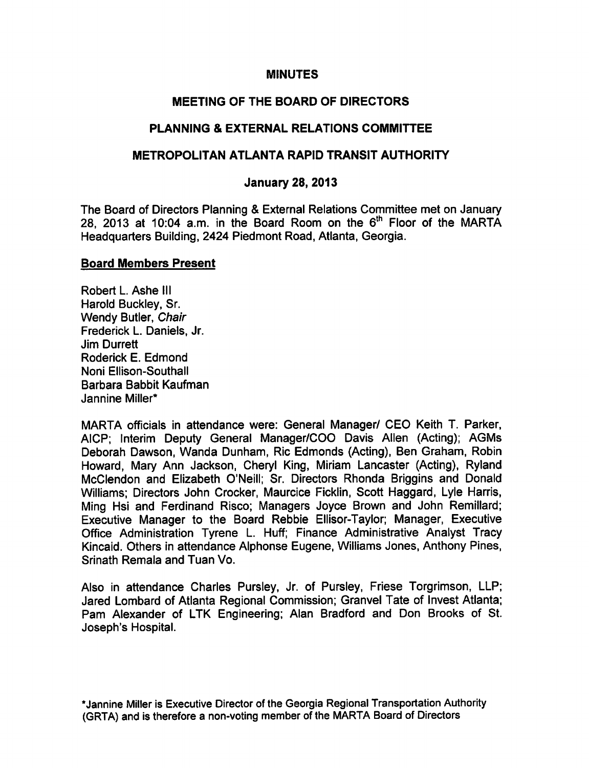#### **MINUTES**

# MEETING OF THE BOARD OF DIRECTORS

# PLANNING & EXTERNAL RELATIONS COMMITTEE

#### METROPOLITAN ATLANTA RAPID TRANSIT AUTHORITY

#### January 28, 2013

The Board of Directors Planning & External Relations Committee met on January 28, 2013 at 10:04 a.m. in the Board Room on the  $6<sup>th</sup>$  Floor of the MARTA Headquarters Building, 2424 Piedmont Road, Atlanta, Georgia.

#### Board Members Present

Robert L. Ashe III Harold Buckley, Sr. Wendy Butler, Chair Frederick L. Daniels, Jr. Jim Durrett Roderick E. Edmond Noni Ellison-Southall Barbara Babbit Kaufman Jannine Miller\*

MARTA officials in attendance were: General Manager/ CEO Keith T. Parker, AICP; Interim Deputy General Manager/COO Davis Allen (Acting); AGMs Deborah Dawson, Wanda Dunham, Ric Edmonds (Acting), Ben Graham, Robin Howard, Mary Ann Jackson, Cheryl King, Miriam Lancaster (Acting), Ryland McClendon and Elizabeth O'Neill; Sr. Directors Rhonda Briggins and Donald Williams; Directors John Crocker, Maurcice Ficklin, Scott Haggard, Lyle Harris, Ming Hsi and Ferdinand Risco; Managers Joyce Brown and John Remillard; Executive Manager to the Board Rebbie Ellisor-Taylor; Manager, Executive Office Administration Tyrene L. Huff; Finance Administrative Analyst Tracy Kincaid. Others in attendance Alphonse Eugene, Williams Jones, Anthony Pines, Srinath Remala and Tuan Vo.

Also in attendance Charles Pursley, Jr. of Pursley, Friese Torgrimson, LLP; Jared Lombard of Atlanta Regional Commission; Granvel Tate of Invest Atlanta; Pam Alexander of LTK Engineering; Alan Bradford and Don Brooks of St. Joseph's Hospital.

•Jannine Miller is Executive Director of the Georgia Regional Transportation Authority (GRTA) and is therefore a non-voting member of the MARTA Board of Directors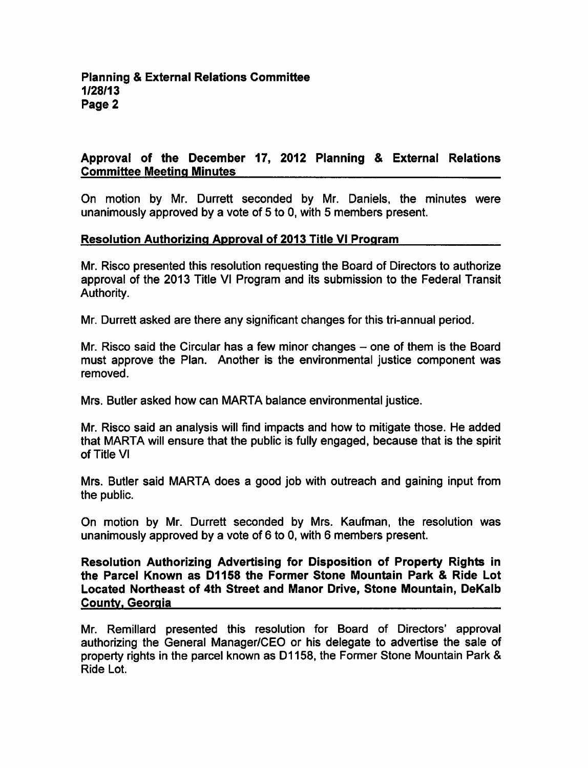# Approval of the December 17, 2012 Planning & External Relations Committee Meeting Minutes

On motion by Mr. Durrett seconded by Mr. Daniels, the minutes were unanimously approved by a vote of 5 to 0, with 5 members present.

## Resolution Authorizing Approval of 2013 Title VI Program

Mr. Risco presented this resolution requesting the Board of Directors to authorize approval of the 2013 Title VI Program and its submission to the Federal Transit Authority.

Mr. Durrett asked are there any significant changes for this tri-annual period.

Mr. Risco said the Circular has a few minor changes  $-$  one of them is the Board must approve the Plan. Another is the environmental justice component was removed.

Mrs. Butler asked how can MARTA balance environmental justice.

Mr. Risco said an analysis will find impacts and how to mitigate those. He added that MARTA will ensure that the public is fully engaged, because that is the spirit of Title VI

Mrs. Butler said MARTA does a good job with outreach and gaining input from the public.

On motion by Mr. Durrett seconded by Mrs. Kaufman, the resolution was unanimously approved by a vote of 6 to 0, with 6 members present.

Resolution Authorizing Advertising for Disposition of Property Rights in the Parcel Known as D1158 the Former Stone Mountain Park & Ride Lot Located Northeast of 4th Street and Manor Drive, Stone Mountain, DeKalb County. Georgia

Mr. Remillard presented this resolution for Board of Directors' approval authorizing the General Manager/CEO or his delegate to advertise the sale of property rights in the parcel known as D1158, the Former Stone Mountain Park Ride Lot.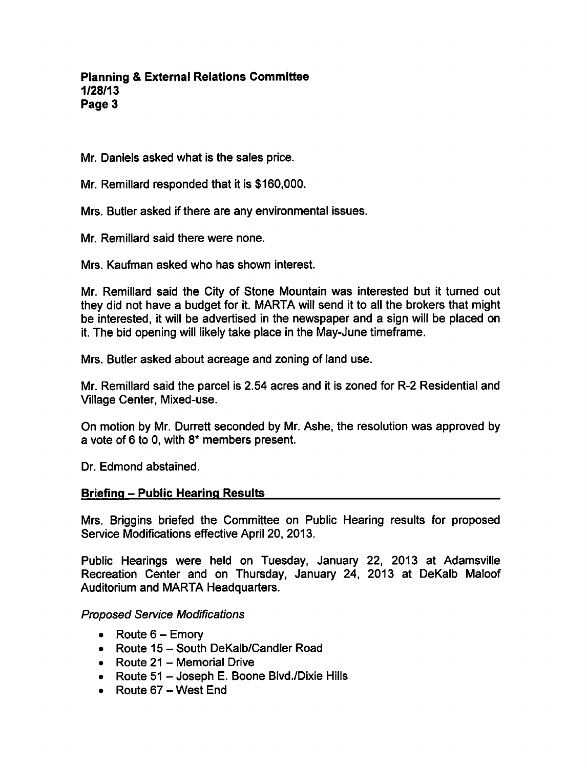**Planning & External Relations Committee** 1/28/13 Page 3

Mr. Daniels asked what is the sales price.

Mr. Remillard responded that it is \$160,000.

Mrs. Butler asked if there are any environmental issues.

Mr. Remillard said there were none.

Mrs. Kaufman asked who has shown interest.

Mr. Remillard said the City of Stone Mountain was interested but it turned out they did not have a budget for it. MARTA will send it to all the brokers that might be interested, it will be advertised in the newspaper and a sign will be placed on it. The bid opening will likely take place in the May-June timeframe.

Mrs. Butler asked about acreage and zoning of land use.

Mr. Remillard said the parcel is 2.54 acres and it is zoned for R-2 Residential and Village Center, Mixed-use.

On motion by Mr. Durrett seconded by Mr. Ashe, the resolution was approved by a vote of 6 to 0, with  $8*$  members present.

Dr. Edmond abstained.

#### **Briefing – Public Hearing Results**

Mrs. Briggins briefed the Committee on Public Hearing results for proposed Service Modifications effective April 20, 2013.

Public Hearings were held on Tuesday, January 22, 2013 at Adamsville Recreation Center and on Thursday, January 24, 2013 at DeKalb Maloof Auditorium and MARTA Headquarters.

Proposed Service Modifications

- Route  $6 -$  Emory
- Route  $15 -$  South DeKalb/Candler Road
- $\bullet$  Route 21 Memorial Drive
- Route  $51 -$  Joseph E. Boone Blvd./Dixie Hills
- $\bullet$  Route 67 West End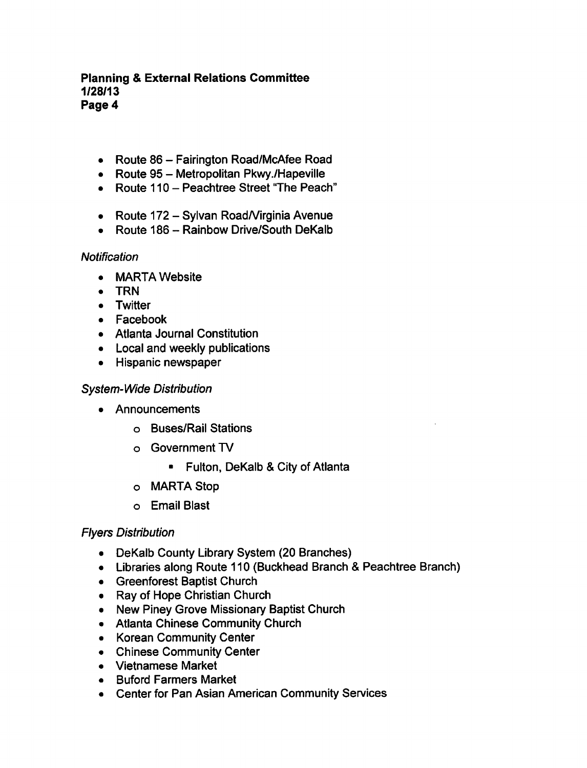## **Planning & External Relations Committee** 1/28/13 Page 4

- Route  $86$  Fairington Road/McAfee Road
- Route 95 Metropolitan Pkwy./Hapeville
- Route 110 Peachtree Street "The Peach"
- Route 172 Sylvan Road/Virginia Avenue
- Route  $186 -$  Rainbow Drive/South DeKalb

## **Notification**

- MARTA Website  $\bullet$
- TRN  $\bullet$
- **Twitter**
- Facebook
- Atlanta Journal Constitution
- Local and weekly publications
- Hispanic newspaper

# System-Wide Distribution

- Announcements
	- Buses/Rail Stations
	- Government TV
		- **Fulton, DeKalb & City of Atlanta**
	- MARTA Stop
	- Email Blast

## Flyers Distribution

- DeKalb County Library System (20 Branches)
- Libraries along Route 110 (Buckhead Branch & Peachtree Branch)
- Greenforest Baptist Church
- Ray of Hope Christian Church
- New Piney Grove Missionary Baptist Church
- Atlanta Chinese Community Church
- Korean Community Center
- Chinese Community Center
- Vietnamese Market
- Buford Farmers Market
- Center for Pan Asian American Community Services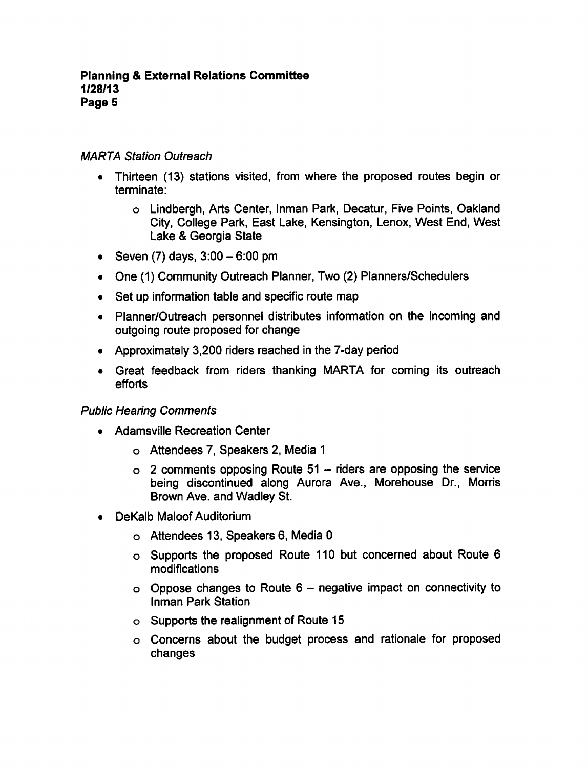# MARTA Station Outreach

- Thirteen (13) stations visited, from where the proposed routes begin or terminate:
	- Lindbergh, Arts Center, Inman Park, Decatur, Five Points, Oakland City, College Park, East Lake, Kensington, Lenox, West End, West Lake Georgia State
- Seven  $(7)$  days,  $3:00 6:00$  pm
- One (1) Community Outreach Planner, Two (2) Planners/Schedulers
- Set up information table and specific route map
- Planner/Outreach personnel distributes information on the incoming and outgoing route proposed for change
- Approximately 3,200 riders reached in the 7-day period
- Great feedback from riders thanking MARTA for coming its outreach efforts

## Public Hearing Comments

- Adamsville Recreation Center
	- Attendees 7, Speakers 2, Media
	- $\circ$  2 comments opposing Route 51 riders are opposing the service being discontinued along Aurora Ave., Morehouse Dr., Morris Brown Ave. and Wadley St.
- DeKalb Maloof Auditorium
	- Attendees 13, Speakers 6, Media
	- Supports the proposed Route 110 but concerned about Route 6 modifications
	- $\circ$  Oppose changes to Route 6 negative impact on connectivity to Inman Park Station
	- Supports the realignment of Route 15
	- Concerns about the budget process and rationale for proposed changes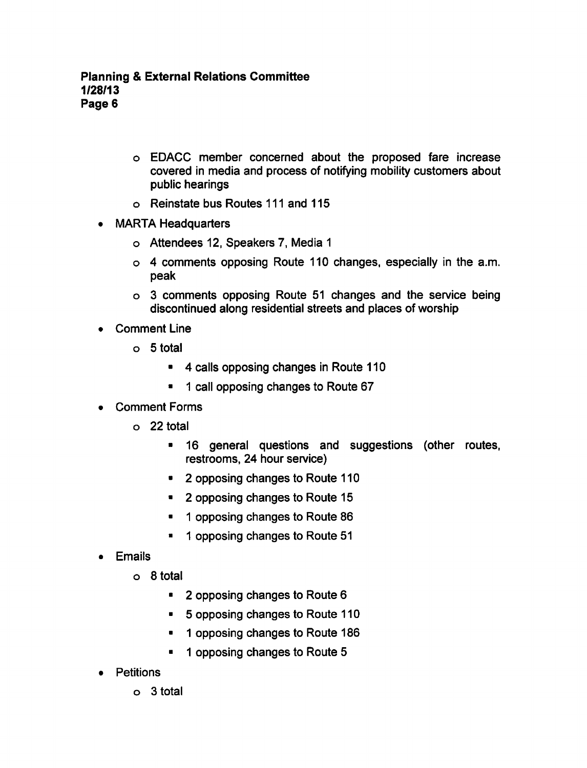- EDACC member concerned about the proposed fare increase covered in media and process of notifying mobility customers about public hearings
- Reinstate bus Routes 111 and 115
- MARTA Headquarters  $\bullet$ 
	- Attendees 12, Speakers 7, Media
	- $\circ$  4 comments opposing Route 110 changes, especially in the a.m. peak
	- o 3 comments opposing Route 51 changes and the service being discontinued along residential streets and places of worship
- Comment Line
	- $\circ$  5 total
		- 4 calls opposing changes in Route 110
		- call opposing changes to Route 67  $\blacksquare$
- Comment Forms
	- o 22 total
		- 16 general questions and suggestions (other routes,  $\bullet$ restrooms, 24 hour service)
		- 2 opposing changes to Route 110  $\blacksquare$
		- 2 opposing changes to Route 15  $\blacksquare$
		- opposing changes to Route 86  $\blacksquare$
		- 1 opposing changes to Route 51
- Emails
	- $\circ$  8 total
		- 2 opposing changes to Route 6
		- 5 opposing changes to Route 110
		- 1 opposing changes to Route 186
		- $\blacksquare$ 1 opposing changes to Route 5
- Petitions
	- $o<sub>3</sub>$  total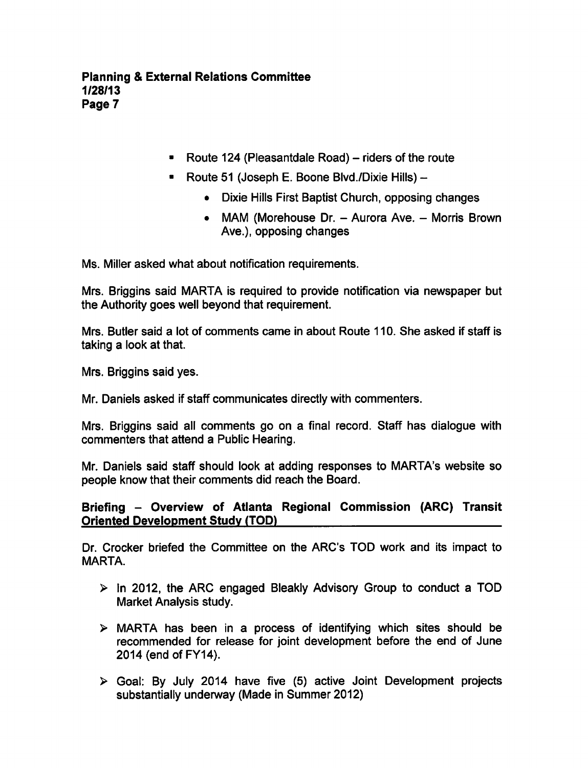- Route 124 (Pleasantdale Road) riders of the route
- **Route 51 (Joseph E. Boone Blvd./Dixie Hills) --**
	- Dixie Hills First Baptist Church, opposing changes
	- MAM (Morehouse Dr.  $-$  Aurora Ave.  $-$  Morris Brown Ave.), opposing changes

Ms. Miller asked what about notification requirements.

Mrs. Briggins said MARTA is required to provide notification via newspaper but the Authority goes well beyond that requirement.

Mrs. Butler said a lot of comments came in about Route 110. She asked if staff is taking a look at that.

Mrs. Briggins said yes.

Mr. Daniels asked if staff communicates directly with commenters.

Mrs. Briggins said all comments go on a final record. Staff has dialogue with commenters that attend a Public Hearing.

Mr. Daniels said staff should look at adding responses to MARTA's website so people know that their comments did reach the Board.

# Briefing - Overview of Atlanta Regional Commission (ARC) Transit Oriented Development Study (TOD)

Dr. Crocker briefed the Committee on the ARC'S TOD work and its impact to MARTA.

- $\triangleright$  in 2012, the ARC engaged Bleakly Advisory Group to conduct a TOD Market Analysis study.
- $\triangleright$  MARTA has been in a process of identifying which sites should be recommended for release for joint development before the end of June 2014 (end of FY14).
- $\triangleright$  Goal: By July 2014 have five (5) active Joint Development projects substantially underway (Made in Summer 2012)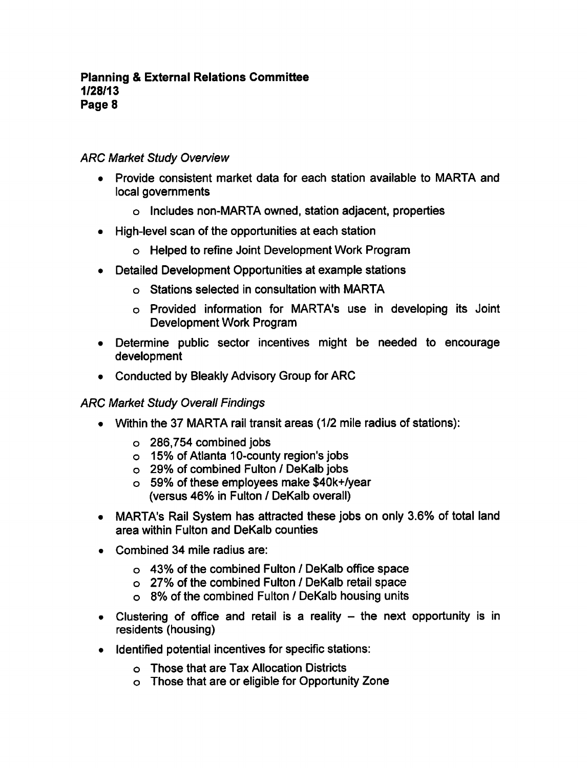# **ARC Market Study Overview**

- Provide consistent market data for each station available to MARTA and local governments
	- Includes non-MARTA owned, station adjacent, properties
- High-level scan of the opportunities at each station
	- Helped to refine Joint Development Work Program
- Detailed Development Opportunities at example stations
	- Stations selected in consultation with MARTA
	- Provided information for MARTA's use in developing its Joint Development Work Program
- Determine public sector incentives might be needed to encourage development
- Conducted by Bleakly Advisory Group for ARC

## ARC Market Study Overall Findings

- Within the 37 MARTA rail transit areas (1/2 mile radius of stations):
	- 286,754 combined jobs
	- 15% of Atlanta 10-county region's jobs
	- o 29% of combined Fulton / DeKalb jobs
	- 59% of these employees make \$40k+/year (versus 46% in Fulton / DeKalb overall)
- MARTA's Rail System has attracted these jobs on only 3.6% of total land area within Fulton and DeKalb counties
- Combined 34 mile radius are:
	- $\circ$  43% of the combined Fulton / DeKalb office space
	- o 27% of the combined Fulton / DeKalb retail space
	- o 8% of the combined Fulton / DeKalb housing units
- Clustering of office and retail is a reality  $-$  the next opportunity is in residents (housing)
- Identified potential incentives for specific stations:
	- Those that are Tax Allocation Districts
	- Those that are or eligible for Opportunity Zone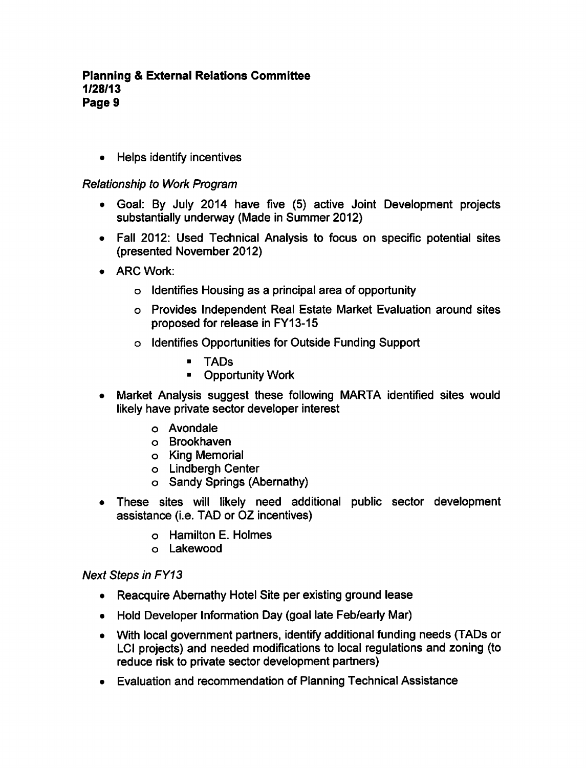• Helps identify incentives

# Relationship to Work Program

- Goal: By July 2014 have five (5) active Joint Development projects substantially underway (Made in Summer 2012)
- Fall 2012: Used Technical Analysis to focus on specific potential sites (presented November 2012)
- ARC Work:
	- o Identifies Housing as a principal area of opportunity
	- Provides Independent Real Estate Market Evaluation around sites proposed for release in FY13-15
	- Identifies Opportunities for Outside Funding Support
		- TADs
		- **E** Opportunity Work
- Market Analysis suggest these following MARTA identified sites would  $\bullet$ likely have private sector developer interest
	- Avondale
	- Brookhaven
	- o King Memorial
	- Lindbergh Center
	- o Sandy Springs (Abernathy)
- These sites will likely need additional public sector development assistance (i.e. TAD or OZ incentives)
	- Hamilton E. Holmes
	- Lakewood

## Next Steps in FY13

- Reacquire Abernathy Hotel Site per existing ground lease
- Hold Developer Information Day (goal late Feb/early Mar)
- With local government partners, identify additional funding needs (TADs or LCI projects) and needed modifications to local regulations and zoning (to reduce risk to private sector development partners)
- Evaluation and recommendation of Planning Technical Assistance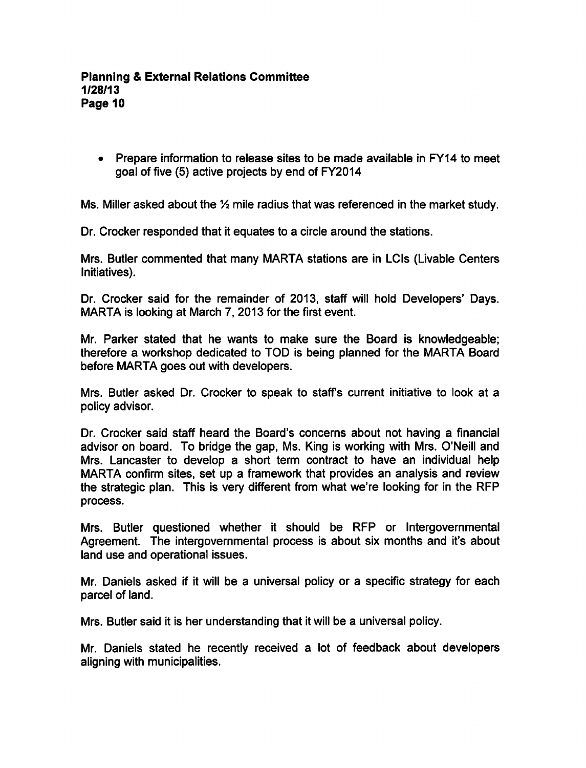Prepare information to release sites to be made available in FY14 to meet goal of five (5) active projects by end of FY2014

Ms. Miller asked about the  $\frac{1}{2}$  mile radius that was referenced in the market study.

Dr. Crocker responded that it equates to a circle around the stations.

Mrs. Butler commented that many MARTA stations are in LCIs (Livable Centers Initiatives).

Dr. Crocker said for the remainder of 2013, staff will hold Developers' Days. MARTA is looking at March 7, 2013 for the first event.

Mr. Parker stated that he wants to make sure the Board is knowledgeable; therefore a workshop dedicated to TOD is being planned for the MARTA Board before MARTA goes out with developers.

Mrs. Butler asked Dr. Crocker to speak to staff's current initiative to look at a policy advisor.

Dr. Crocker said staff heard the Board's concerns about not having a financial advisor on board. To bridge the gap, Ms. King is working with Mrs. O'Neill and Mrs. Lancaster to develop a short term contract to have an individual help MARTA confirm sites, set up a framework that provides an analysis and review the strategic plan. This is very different from what we're looking for in the RFP process.

Mrs. Butler questioned whether it should be RFP or Intergovernmental Agreement. The intergovernmental process is about six months and it's about land use and operational issues.

Mr. Daniels asked if it will be a universal policy or a specific strategy for each parcel of land.

Mrs. Butler said it is her understanding that it will be a universal policy.

Mr. Daniels stated he recently received a lot of feedback about developers aligning with municipalities.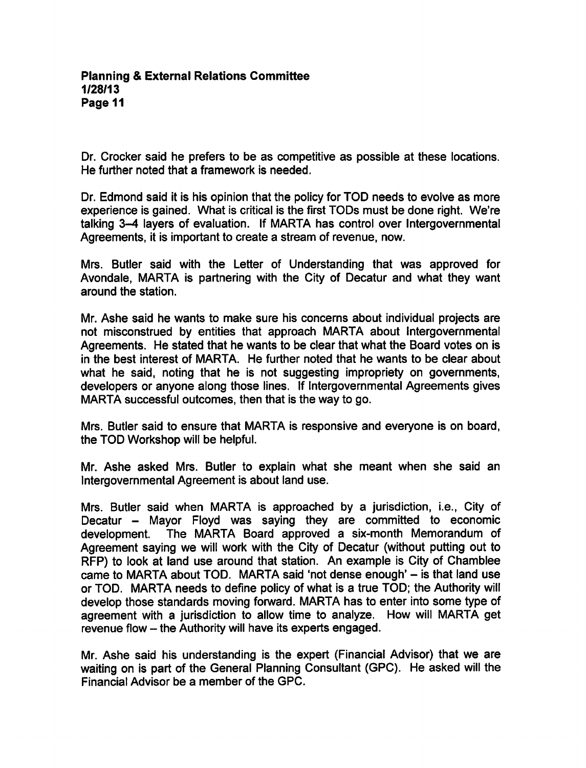Dr. Crocker said he prefers to be as competitive as possible at these locations. He further noted that a framework is needed.

Dr. Edmond said it is his opinion that the policy for TOD needs to evolve as more experience is gained. What is critical is the first TODs must be done right. We're talking 3-4 layers of evaluation. If MARTA has control over Intergovernmental Agreements, it is important to create a stream of revenue, now.

Mrs. Butler said with the Letter of Understanding that was approved for Avondale, MARTA is partnering with the City of Decatur and what they want around the station.

Mr. Ashe said he wants to make sure his concerns about individual projects are not misconstrued by entities that approach MARTA about Intergovernmental Agreements. He stated that he wants to be clear that what the Board votes on is in the best interest of MARTA. He further noted that he wants to be clear about what he said, noting that he is not suggesting impropriety on governments, developers or anyone along those lines. If Intergovernmental Agreements gives MARTA successful outcomes, then that is the way to go.

Mrs. Butler said to ensure that MARTA is responsive and everyone is on board, the TOD Workshop will be helpful.

Mr. Ashe asked Mrs. Butler to explain what she meant when she said an Intergovernmental Agreement is about land use.

Mrs. Butler said when MARTA is approached by a jurisdiction, i.e., City of Decatur - Mayor Floyd was saying they are committed to economic development. The MARTA Board approved a six-month Memorandum of Agreement saying we will work with the City of Decatur (without putting out to RFP) to look at land use around that station. An example is City of Chamblee came to MARTA about TOD. MARTA said 'not dense enough'  $-$  is that land use or TOD. MARTA needs to define policy of what is a true TOD; the Authority will develop those standards moving forward. MARTA has to enter into some type of agreement with a jurisdiction to allow time to analyze. How will MARTA get revenue flow - the Authority will have its experts engaged.

Mr. Ashe said his understanding is the expert (Financial Advisor) that we are waiting on is part of the General Planning Consultant (GPC). He asked will the Financial Advisor be a member of the GPC.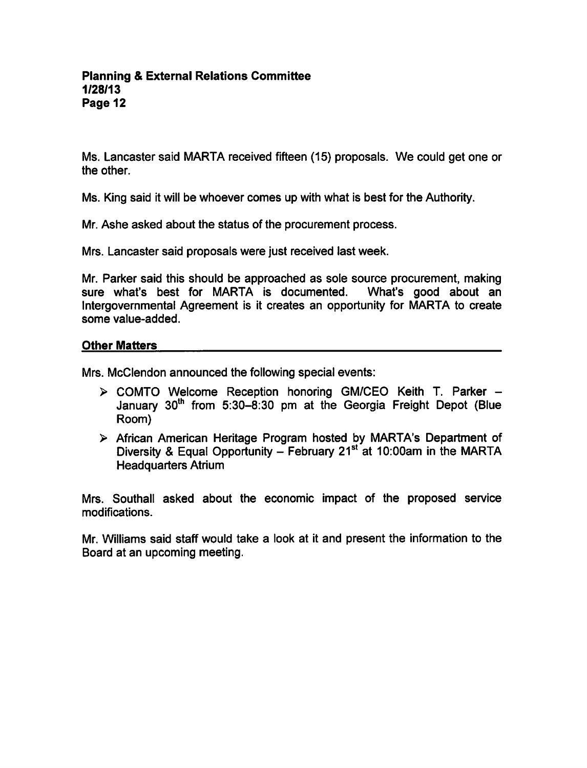Ms. Lancaster said MARTA received fifteen (15) proposals. We could get one or the other.

Ms. King said it will be whoever comes up with what is best for the Authority.

Mr. Ashe asked about the status of the procurement process.

Mrs. Lancaster said proposals were just received last week.

Mr. Parker said this should be approached as sole source procurement, making sure what's best for MARTA is documented. What's good about an Intergovernmental Agreement is it creates an opportunity for MARTA to create some value-added.

#### Other Matters

Mrs. McClendon announced the following special events:

- $\triangleright$  COMTO Welcome Reception honoring GM/CEO Keith T. Parker  $-$ January 30<sup>th</sup> from 5:30-8:30 pm at the Georgia Freight Depot (Blue Room)
- African American Heritage Program hosted by MARTA's Department of Diversity & Equal Opportunity  $-$  February 21st at 10:00am in the MARTA Headquarters Atrium

Mrs. Southall asked about the economic impact of the proposed service modifications.

Mr. Williams said staff would take a look at it and present the information to the Board at an upcoming meeting.